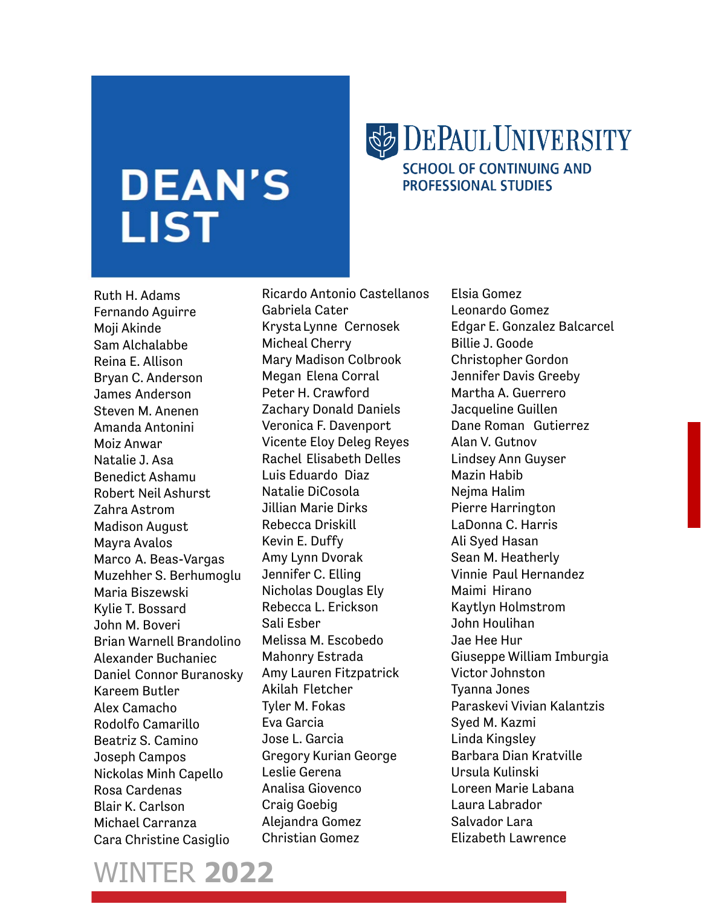## **DEAN'S LIST**

## **SB DEPAUL UNIVERSITY SCHOOL OF CONTINUING AND**

**PROFESSIONAL STUDIES** 

Ruth H. Adams Fernando Aguirre Moji Akinde Sam Alchalabbe Reina E. Allison Bryan C. Anderson James Anderson Steven M. Anenen Amanda Antonini Moiz Anwar Natalie J. Asa Benedict Ashamu Robert Neil Ashurst Zahra Astrom Madison August Mayra Avalos Marco A. Beas-Vargas Muzehher S. Berhumoglu Maria Biszewski Kylie T. Bossard John M. Boveri Brian Warnell Brandolino Alexander Buchaniec Daniel Connor Buranosky Kareem Butler Alex Camacho Rodolfo Camarillo Beatriz S. Camino Joseph Campos Nickolas Minh Capello Rosa Cardenas Blair K. Carlson Michael Carranza Cara Christine Casiglio

Ricardo Antonio Castellanos Gabriela Cater KrystaLynne Cernosek Micheal Cherry Mary Madison Colbrook Megan Elena Corral Peter H. Crawford Zachary Donald Daniels Veronica F. Davenport Vicente Eloy Deleg Reyes Rachel Elisabeth Delles Luis Eduardo Diaz Natalie DiCosola Jillian Marie Dirks Rebecca Driskill Kevin E. Duffy Amy Lynn Dvorak Jennifer C. Elling Nicholas Douglas Ely Rebecca L. Erickson Sali Esber Melissa M. Escobedo Mahonry Estrada Amy Lauren Fitzpatrick Akilah Fletcher Tyler M. Fokas Eva Garcia Jose L. Garcia Gregory Kurian George Leslie Gerena Analisa Giovenco Craig Goebig Alejandra Gomez Christian Gomez

Elsia Gomez Leonardo Gomez Edgar E. Gonzalez Balcarcel Billie J. Goode Christopher Gordon Jennifer Davis Greeby Martha A. Guerrero Jacqueline Guillen Dane Roman Gutierrez Alan V. Gutnov Lindsey Ann Guyser Mazin Habib Nejma Halim Pierre Harrington LaDonna C. Harris Ali Syed Hasan Sean M. Heatherly Vinnie Paul Hernandez Maimi Hirano Kaytlyn Holmstrom John Houlihan Jae Hee Hur Giuseppe William Imburgia Victor Johnston Tyanna Jones Paraskevi Vivian Kalantzis Syed M. Kazmi Linda Kingsley Barbara Dian Kratville Ursula Kulinski Loreen Marie Labana Laura Labrador Salvador Lara Elizabeth Lawrence